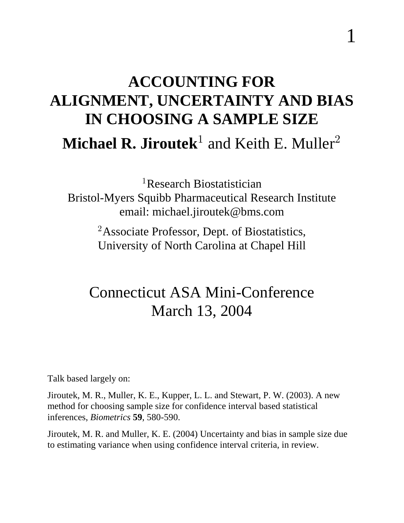# **ACCOUNTING FOR ALIGNMENT, UNCERTAINTY AND BIAS IN CHOOSING A SAMPLE SIZE Michael R. Jiroutek** and Keith E. Muller<sup>2</sup>

 ${}^{1}$ Research Biostatistician Bristol-Myers Squibb Pharmaceutical Research Institute email: michael.jiroutek@bms.com

> <sup>2</sup>Associate Professor, Dept. of Biostatistics, University of North Carolina at Chapel Hill

#### Connecticut ASA Mini-Conference March 13, 2004

Talk based largely on:

Jiroutek, M. R., Muller, K. E., Kupper, L. L. and Stewart, P. W. (2003). A new method for choosing sample size for confidence interval based statistical inferences, *Biometrics* **59**, 580-590.

Jiroutek, M. R. and Muller, K. E. (2004) Uncertainty and bias in sample size due to estimating variance when using confidence interval criteria, in review.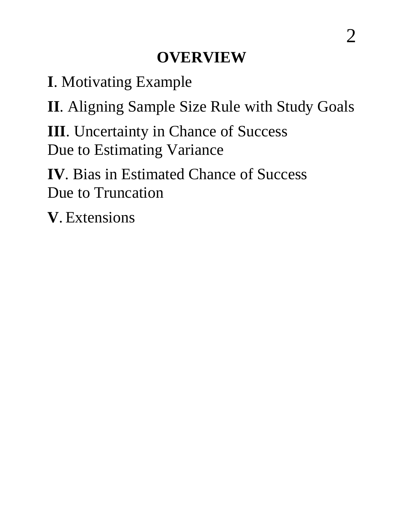#### **OVERVIEW**

**I**. Motivating Example

**II**. Aligning Sample Size Rule with Study Goals

**III**. Uncertainty in Chance of Success Due to Estimating Variance

**IV**. Bias in Estimated Chance of Success Due to Truncation

**V**. Extensions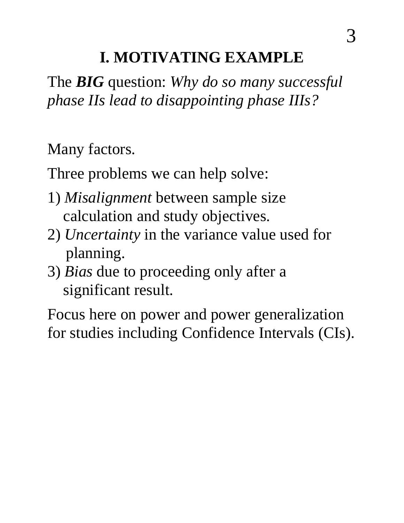#### **I. MOTIVATING EXAMPLE**

The **BIG** question: *Why do so many successful phase IIs lead to disappointing phase IIIs?*

Many factors.

Three problems we can help solve:

- 1) *Misalignment* between sample size calculation and study objectives.
- 2) *Uncertainty* in the variance value used for planning.
- 3) *Bias* due to proceeding only after a significant result.

Focus here on power and power generalization for studies including Confidence Intervals (CIs).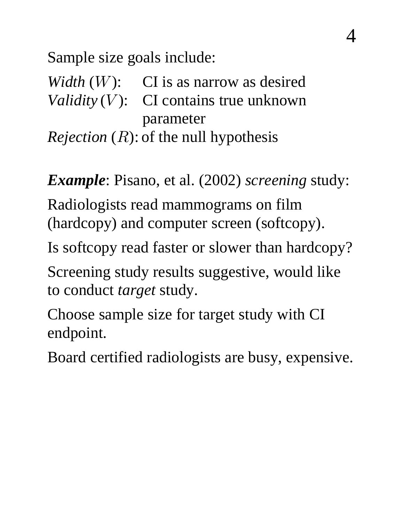Sample size goals include:

*Width*  $(W)$ : CI is as narrow as desired *Validity* (*V*): CI contains true unknown parameter

*Rejection*  $(R)$ : of the null hypothesis

*Example*: Pisano, et al. (2002) screening study:

Radiologists read mammograms on film (hardcopy) and computer screen (softcopy).

Is softcopy read faster or slower than hardcopy?

Screening study results suggestive, would like to conduct *target* study.

Choose sample size for target study with CI endpoint.

Board certified radiologists are busy, expensive.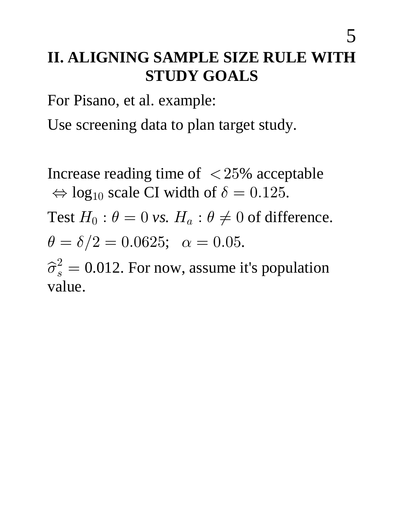## **II. ALIGNING SAMPLE SIZE RULE WITH STUDY GOALS**

For Pisano, et al. example:

Use screening data to plan target study.

Increase reading time of  $\langle 25\%$  acceptable  $\Leftrightarrow$  log<sub>10</sub> scale CI width of  $\delta = 0.125$ .

Test  $H_0$ :  $\theta = 0$  vs.  $H_a$ :  $\theta \neq 0$  of difference.  $\theta = \delta/2 = 0.0625; \ \alpha = 0.05.$ 

 $\hat{\sigma}_s^2 = 0.012$ . For now, assume it's population value.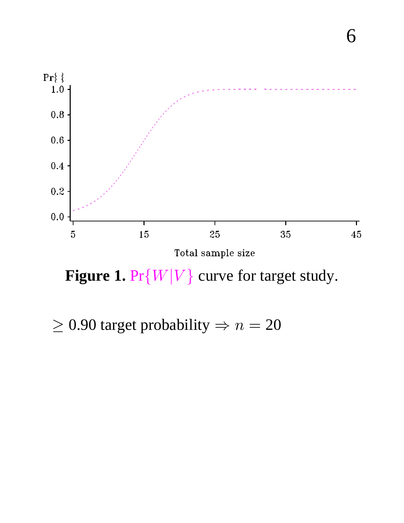

**Figure 1.**  $Pr\{W|V\}$  curve for target study.

 $\geq$  0.90 target probability  $\Rightarrow$   $n = 20$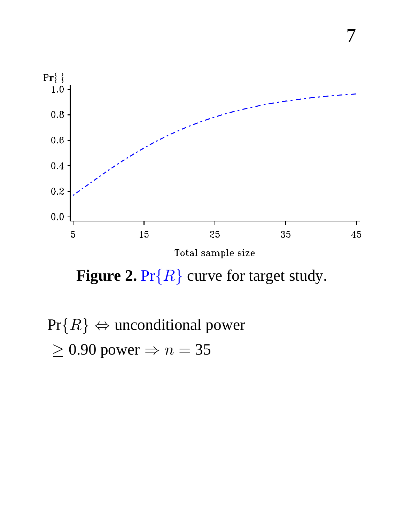

**Figure 2.** Pr{ $R$ } curve for target study.

 $Pr{R} \Leftrightarrow$  unconditional power  $\geq$  0.90 power  $\Rightarrow$  n = 35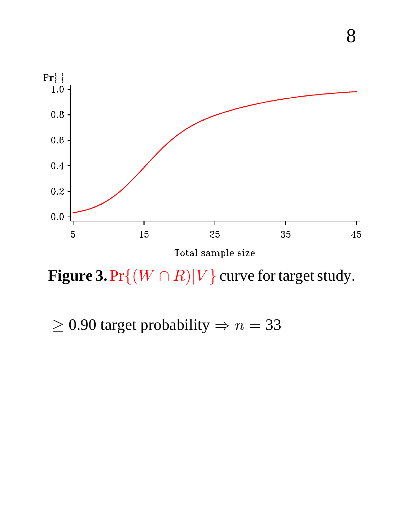

Figure 3.  $Pr\{(W \cap R)|V\}$  curve for target study.

 $\geq$  0.90 target probability  $\Rightarrow$   $n = 33$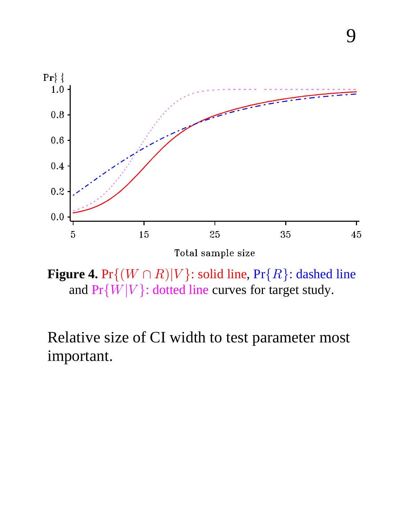

9

Total sample size

**Figure 4.**  $Pr\{(W \cap R)|V\}$ : solid line,  $Pr\{R\}$ : dashed line and  $Pr{W|V}$ : dotted line curves for target study.

Relative size of CI width to test parameter most important.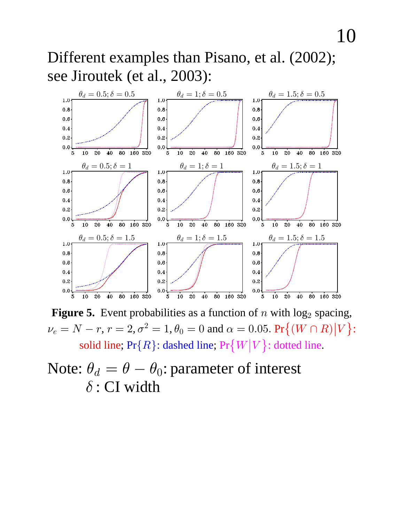Different examples than Pisano, et al. (2002); see Jiroutek (et al., 2003):



**Figure 5.** Event probabilities as a function of  $n$  with  $log_2$  spacing,  $\nu_e = N - r$ ,  $r = 2$ ,  $\sigma^2 = 1$ ,  $\theta_0 = 0$  and  $\alpha = 0.05$ . Pr $\{(W \cap R)|V\}$ : solid line;  $Pr\{R\}$ : dashed line;  $Pr\{W|V\}$ : dotted line.

#### Note:  $\theta_d = \theta - \theta_0$ : parameter of interest  $\delta$ : CI width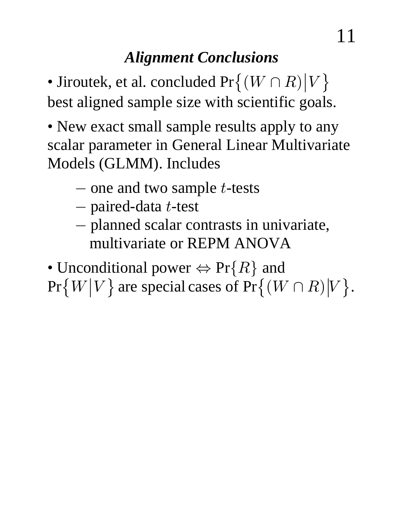# *Alignment Conclusions*

• Jiroutek, et al. concluded  $Pr\{(W \cap R) | V\}$ best aligned sample size with scientific goals.

- New exact small sample results apply to any scalar parameter in General Linear Multivariate Models (GLMM). Includes
	- $-$  one and two sample *t*-tests
	- $-$  paired-data *t*-test
	- planned scalar contrasts in univariate, < multivariate or REPM ANOVA

• Unconditional power  $\Leftrightarrow$  Pr{R} and  $Pr\{W|V\}$  are special cases of  $Pr\{(W \cap R)|V\}$ .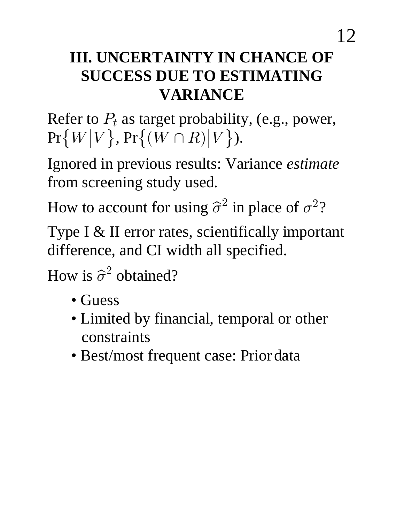### **III. UNCERTAINTY IN CHANCE OF SUCCESS DUE TO ESTIMATING VARIANCE**

Refer to  $P_t$  as target probability, (e.g., power,  $Pr\{W|V\}, Pr\{(W \cap R)|V\}$ .

Ignored in previous results: Variance *estimate* from screening study used.

How to account for using  $\hat{\sigma}^2$  in place of  $\sigma^2$ ?

Type I & II error rates, scientifically important difference, and CI width all specified.

How is  $\hat{\sigma}^2$  obtained?

- Guess
- Limited by financial, temporal or other constraints
- Best/most frequent case: Prior data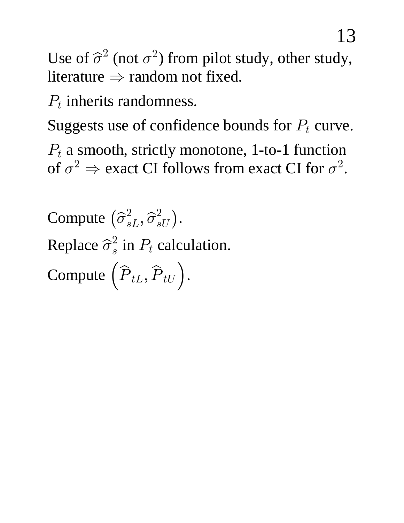Use of  $\hat{\sigma}^2$  (not  $\sigma^2$ ) from pilot study, other study, literature  $\Rightarrow$  random not fixed.

 $P_t$  inherits randomness.

Suggests use of confidence bounds for  $P_t$  curve.

 $P_t$  a smooth, strictly monotone, 1-to-1 function of  $\sigma^2 \Rightarrow$  exact CI follows from exact CI for  $\sigma^2$ .

Compute  $(\hat{\sigma}_{sL}^2, \hat{\sigma}_{sU}^2)$ . Replace  $\hat{\sigma}_s^2$  in  $P_t$  calculation.

Compute  $(\hat{P}_{tL}, \hat{P}_{tU})$ .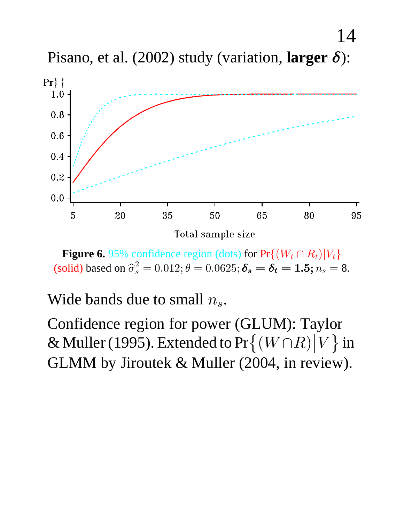Pisano, et al. (2002) study (variation, larger  $\delta$ ):

14



**Figure 6.** 95% confidence region (dots) for  $Pr\{(W_t \cap R_t)|V_t\}$ (solid) based on  $\hat{\sigma}_s^2 = 0.012; \theta = 0.0625; \delta_s = \delta_t = 1.5; n_s = 8.$ 

Wide bands due to small  $n_s$ .

Confidence region for power (GLUM): Taylor & Muller (1995). Extended to  $Pr\{(W \cap R) | V\}$  in GLMM by Jiroutek & Muller (2004, in review).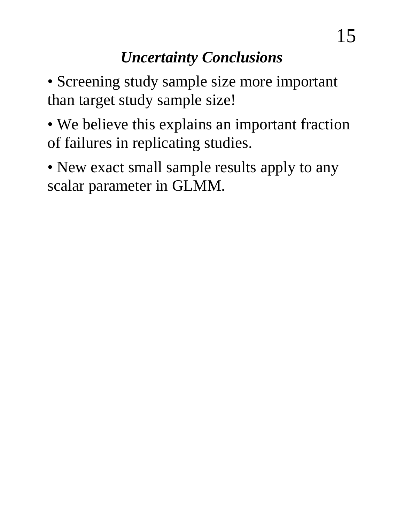• Screening study sample size more important than target study sample size!

• We believe this explains an important fraction of failures in replicating studies.

• New exact small sample results apply to any scalar parameter in GLMM.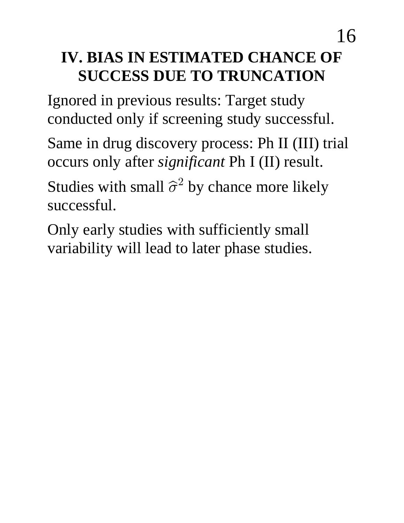## **IV. BIAS IN ESTIMATED CHANCE OF SUCCESS DUE TO TRUNCATION**

Ignored in previous results: Target study conducted only if screening study successful.

Same in drug discovery process: Ph II (III) trial occurs only after *significant* Ph I (II) result.

Studies with small  $\hat{\sigma}^2$  by chance more likely successful.

Only early studies with sufficiently small variability will lead to later phase studies.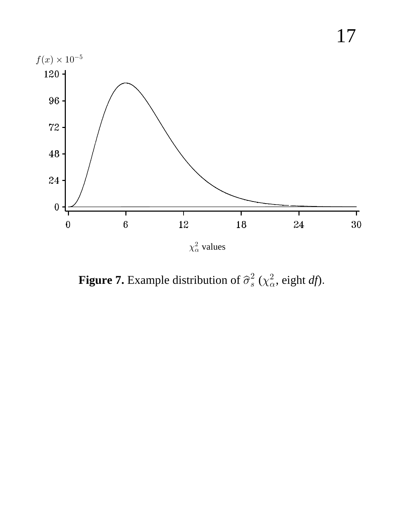

**Figure 7.** Example distribution of  $\hat{\sigma}_s^2$  ( $\chi^2_{\alpha}$ , eight *df*).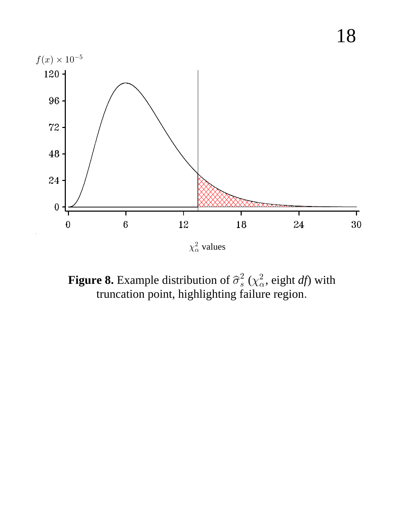

**Figure 8.** Example distribution of  $\hat{\sigma}_s^2$  ( $\chi^2_\alpha$ , eight *df*) with truncation point, highlighting failure region.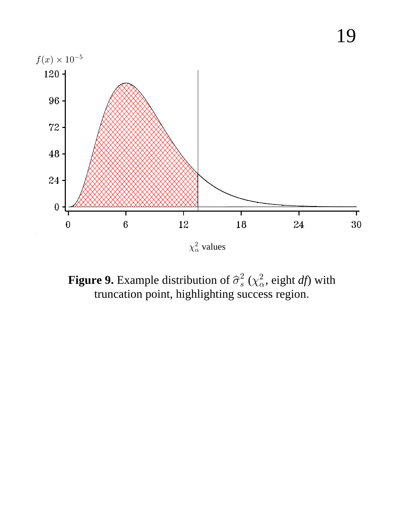

**Figure 9.** Example distribution of  $\hat{\sigma}_s^2$  ( $\chi^2_\alpha$ , eight *df*) with truncation point, highlighting success region.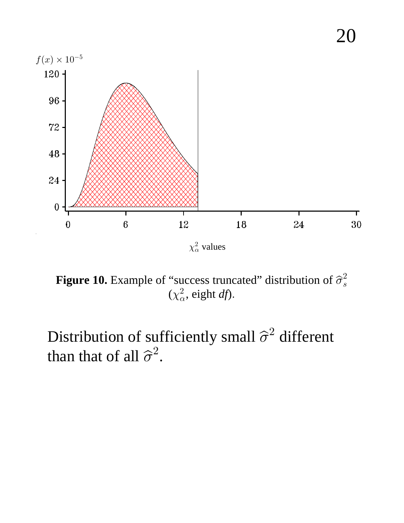

**Figure 10.** Example of "success truncated" distribution of  $\hat{\sigma}_s^2$  $(\chi^2_\alpha, \text{ eight } df).$ 

Distribution of sufficiently small  $\hat{\sigma}^2$  different than that of all  $\hat{\sigma}^2$ .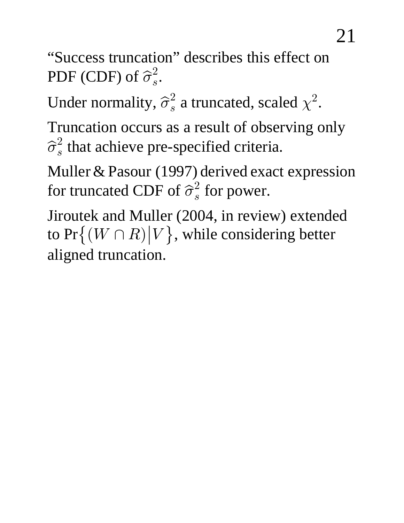"Success truncation" describes this effect on PDF (CDF) of  $\widehat{\sigma}_{s}^{2}.$ 

Under normality,  $\hat{\sigma}_s^2$  a truncated, scaled  $\chi^2$ .

Truncation occurs as a result of observing only  $\widehat{\sigma}_{s}^{2}$  that achieve pre-specified criteria.

Muller & Pasour (1997) derived exact expression for truncated CDF of  $\widehat{\sigma}_s^2$  for power.

Jiroutek and Muller (2004, in review) extended to  $Pr\{(W \cap R) | V\}$ , while considering better aligned truncation.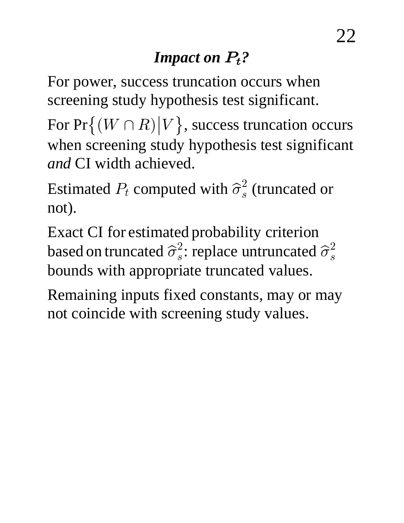# *Impact on*  $P_t$ ?

For power, success truncation occurs when screening study hypothesis test significant.

For  $Pr\{(W \cap R) | V\}$ , success truncation occurs when screening study hypothesis test significant *and* CI width achieved.

Estimated  $P_t$  computed with  $\widehat{\sigma}_s^2$  (truncated or not).

Exact CI for estimated probability criterion based on truncated  $\widehat{\sigma}_s^2$ : replace untruncated  $\widehat{\sigma}_s^2$ bounds with appropriate truncated values.

Remaining inputs fixed constants, may or may not coincide with screening study values.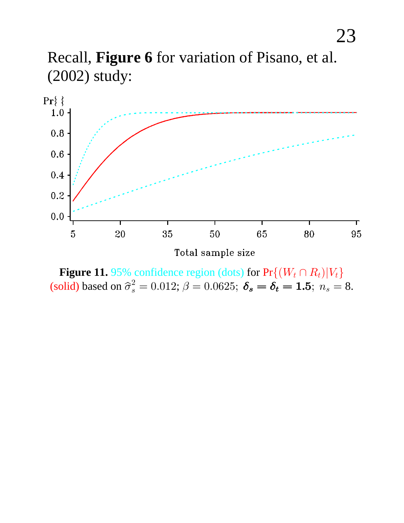



**Figure 11.** 95% confidence region (dots) for  $Pr\{(W_t \cap R_t)|V_t\}$ (solid) based on  $\hat{\sigma}_{s}^{2} = 0.012$ ;  $\beta = 0.0625$ ;  $\delta_{s} = \delta_{t} = 1.5$ ;  $n_{s} = 8$ .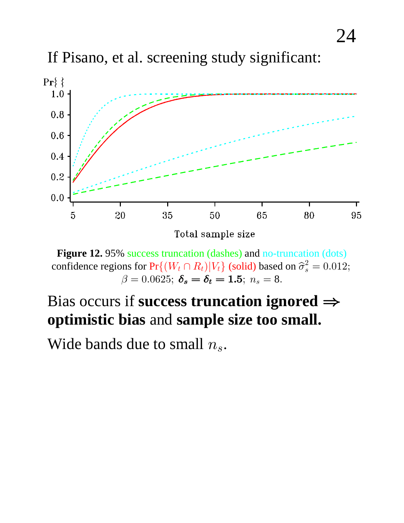If Pisano, et al. screening study significant:



Figure 12. 95% success truncation (dashes) and no-truncation (dots) confidence regions for  $Pr\{(W_t \cap R_t)|V_t\}$  (solid) based on  $\hat{\sigma}_s^2 = 0.012$ ;<br>  $\beta = 0.0625$ ;  $\delta_s = \delta_t = 1.5$ ;  $n_s = 8$ .

#### Bias occurs if success truncation ignored  $\Rightarrow$ optimistic bias and sample size too small.

Wide bands due to small  $n_s$ .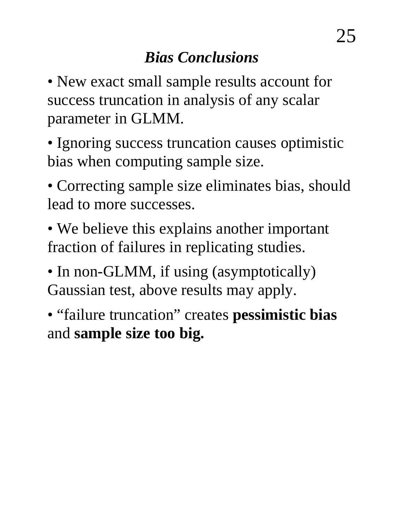• New exact small sample results account for success truncation in analysis of any scalar parameter in GLMM.

• Ignoring success truncation causes optimistic bias when computing sample size.

• Correcting sample size eliminates bias, should lead to more successes.

• We believe this explains another important fraction of failures in replicating studies.

• In non-GLMM, if using (asymptotically) Gaussian test, above results may apply.

• "failure truncation" creates **pessimistic bias** and **sample size too big.**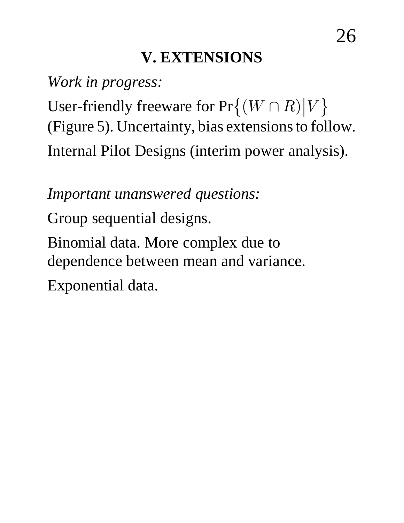## **V. EXTENSIONS**

*Work in progress:*

User-friendly freeware for  $Pr\{(W \cap R) | V\}$ (Figure 5). Uncertainty, bias extensions to follow. Internal Pilot Designs (interim power analysis).

*Important unanswered questions:*

Group sequential designs.

Binomial data. More complex due to dependence between mean and variance.

Exponential data.